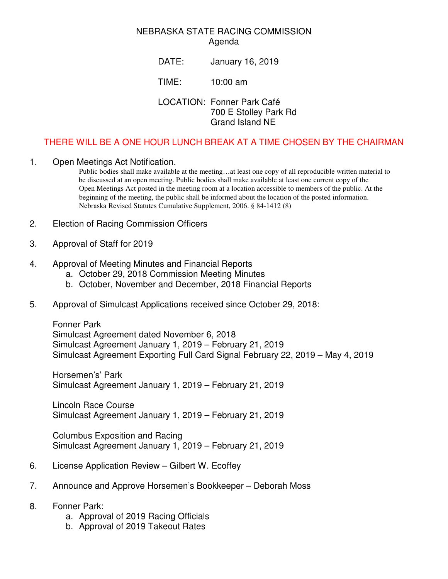## NEBRASKA STATE RACING COMMISSION Agenda

DATE: January 16, 2019

TIME: 10:00 am

LOCATION: Fonner Park Café 700 E Stolley Park Rd Grand Island NE

## THERE WILL BE A ONE HOUR LUNCH BREAK AT A TIME CHOSEN BY THE CHAIRMAN

## 1. Open Meetings Act Notification.

Public bodies shall make available at the meeting…at least one copy of all reproducible written material to be discussed at an open meeting. Public bodies shall make available at least one current copy of the Open Meetings Act posted in the meeting room at a location accessible to members of the public. At the beginning of the meeting, the public shall be informed about the location of the posted information. Nebraska Revised Statutes Cumulative Supplement, 2006. § 84-1412 (8)

- 2. Election of Racing Commission Officers
- 3. Approval of Staff for 2019
- 4. Approval of Meeting Minutes and Financial Reports
	- a. October 29, 2018 Commission Meeting Minutes
	- b. October, November and December, 2018 Financial Reports
- 5. Approval of Simulcast Applications received since October 29, 2018:

Fonner Park Simulcast Agreement dated November 6, 2018 Simulcast Agreement January 1, 2019 – February 21, 2019 Simulcast Agreement Exporting Full Card Signal February 22, 2019 – May 4, 2019

Horsemen's' Park Simulcast Agreement January 1, 2019 – February 21, 2019

Lincoln Race Course Simulcast Agreement January 1, 2019 – February 21, 2019

Columbus Exposition and Racing Simulcast Agreement January 1, 2019 – February 21, 2019

- 6. License Application Review Gilbert W. Ecoffey
- 7. Announce and Approve Horsemen's Bookkeeper Deborah Moss
- 8. Fonner Park:
	- a. Approval of 2019 Racing Officials
	- b. Approval of 2019 Takeout Rates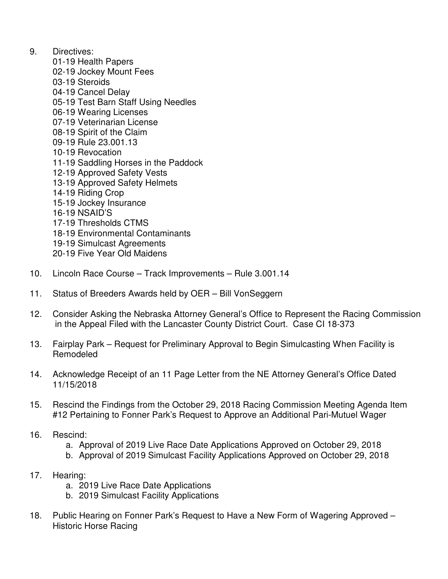- 9. Directives:
	- 01-19 Health Papers
	- 02-19 Jockey Mount Fees
	- 03-19 Steroids
	- 04-19 Cancel Delay
	- 05-19 Test Barn Staff Using Needles
	- 06-19 Wearing Licenses
	- 07-19 Veterinarian License
	- 08-19 Spirit of the Claim
	- 09-19 Rule 23.001.13
	- 10-19 Revocation
	- 11-19 Saddling Horses in the Paddock
	- 12-19 Approved Safety Vests
	- 13-19 Approved Safety Helmets
	- 14-19 Riding Crop
	- 15-19 Jockey Insurance
	- 16-19 NSAID'S
	- 17-19 Thresholds CTMS
	- 18-19 Environmental Contaminants
	- 19-19 Simulcast Agreements
	- 20-19 Five Year Old Maidens
- 10. Lincoln Race Course Track Improvements Rule 3.001.14
- 11. Status of Breeders Awards held by OER Bill VonSeggern
- 12. Consider Asking the Nebraska Attorney General's Office to Represent the Racing Commission in the Appeal Filed with the Lancaster County District Court. Case CI 18-373
- 13. Fairplay Park Request for Preliminary Approval to Begin Simulcasting When Facility is Remodeled
- 14. Acknowledge Receipt of an 11 Page Letter from the NE Attorney General's Office Dated 11/15/2018
- 15. Rescind the Findings from the October 29, 2018 Racing Commission Meeting Agenda Item #12 Pertaining to Fonner Park's Request to Approve an Additional Pari-Mutuel Wager
- 16. Rescind:
	- a. Approval of 2019 Live Race Date Applications Approved on October 29, 2018
	- b. Approval of 2019 Simulcast Facility Applications Approved on October 29, 2018
- 17. Hearing:
	- a. 2019 Live Race Date Applications
	- b. 2019 Simulcast Facility Applications
- 18. Public Hearing on Fonner Park's Request to Have a New Form of Wagering Approved Historic Horse Racing